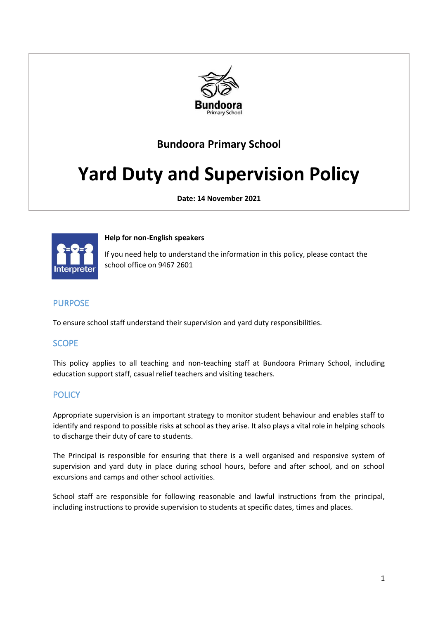

## **Bundoora Primary School**

# **Yard Duty and Supervision Policy**

**Date: 14 November 2021**



#### **Help for non-English speakers**

If you need help to understand the information in this policy, please contact the school office on 9467 2601

## PURPOSE

To ensure school staff understand their supervision and yard duty responsibilities.

## SCOPE

This policy applies to all teaching and non-teaching staff at Bundoora Primary School, including education support staff, casual relief teachers and visiting teachers.

## **POLICY**

Appropriate supervision is an important strategy to monitor student behaviour and enables staff to identify and respond to possible risks at school as they arise. It also plays a vital role in helping schools to discharge their duty of care to students.

The Principal is responsible for ensuring that there is a well organised and responsive system of supervision and yard duty in place during school hours, before and after school, and on school excursions and camps and other school activities.

School staff are responsible for following reasonable and lawful instructions from the principal, including instructions to provide supervision to students at specific dates, times and places.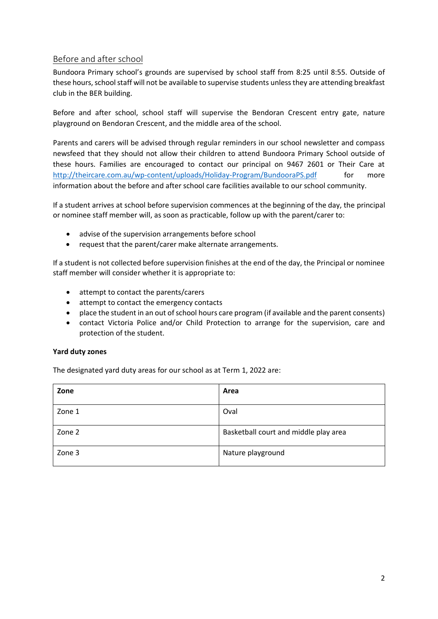### Before and after school

Bundoora Primary school's grounds are supervised by school staff from 8:25 until 8:55. Outside of these hours, school staff will not be available to supervise students unless they are attending breakfast club in the BER building.

Before and after school, school staff will supervise the Bendoran Crescent entry gate, nature playground on Bendoran Crescent, and the middle area of the school.

Parents and carers will be advised through regular reminders in our school newsletter and compass newsfeed that they should not allow their children to attend Bundoora Primary School outside of these hours. Families are encouraged to contact our principal on 9467 2601 or Their Care at <http://theircare.com.au/wp-content/uploads/Holiday-Program/BundooraPS.pdf> for more information about the before and after school care facilities available to our school community.

If a student arrives at school before supervision commences at the beginning of the day, the principal or nominee staff member will, as soon as practicable, follow up with the parent/carer to:

- advise of the supervision arrangements before school
- request that the parent/carer make alternate arrangements.

If a student is not collected before supervision finishes at the end of the day, the Principal or nominee staff member will consider whether it is appropriate to:

- attempt to contact the parents/carers
- attempt to contact the emergency contacts
- place the student in an out of school hours care program (if available and the parent consents)
- contact Victoria Police and/or Child Protection to arrange for the supervision, care and protection of the student.

#### **Yard duty zones**

The designated yard duty areas for our school as at Term 1, 2022 are:

| Zone   | Area                                  |
|--------|---------------------------------------|
| Zone 1 | Oval                                  |
| Zone 2 | Basketball court and middle play area |
| Zone 3 | Nature playground                     |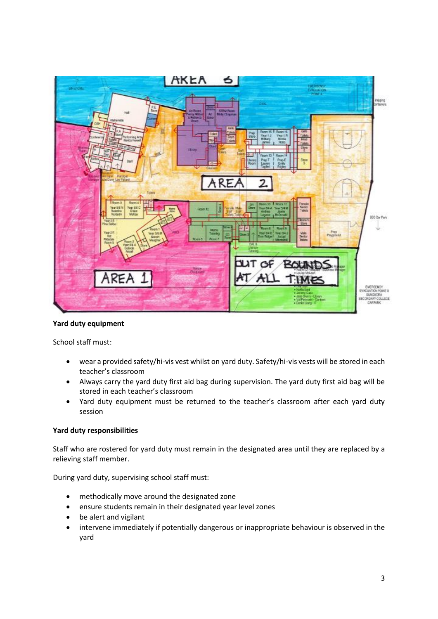

#### **Yard duty equipment**

School staff must:

- wear a provided safety/hi-vis vest whilst on yard duty. Safety/hi-vis vests will be stored in each teacher's classroom
- Always carry the yard duty first aid bag during supervision. The yard duty first aid bag will be stored in each teacher's classroom
- Yard duty equipment must be returned to the teacher's classroom after each yard duty session

#### **Yard duty responsibilities**

Staff who are rostered for yard duty must remain in the designated area until they are replaced by a relieving staff member.

During yard duty, supervising school staff must:

- methodically move around the designated zone
- ensure students remain in their designated year level zones
- be alert and vigilant
- intervene immediately if potentially dangerous or inappropriate behaviour is observed in the yard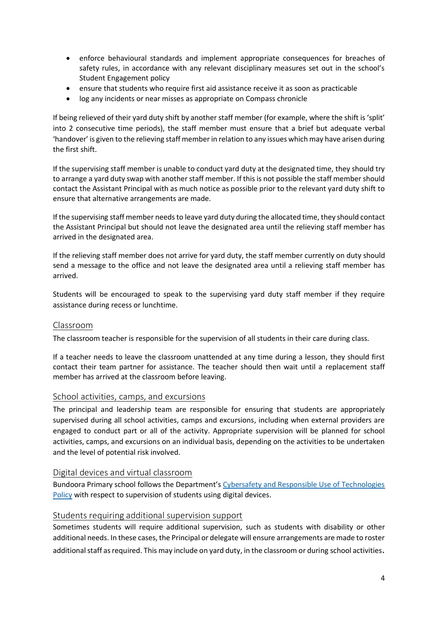- enforce behavioural standards and implement appropriate consequences for breaches of safety rules, in accordance with any relevant disciplinary measures set out in the school's Student Engagement policy
- ensure that students who require first aid assistance receive it as soon as practicable
- log any incidents or near misses as appropriate on Compass chronicle

If being relieved of their yard duty shift by another staff member (for example, where the shift is 'split' into 2 consecutive time periods), the staff member must ensure that a brief but adequate verbal 'handover' is given to the relieving staff member in relation to any issues which may have arisen during the first shift.

If the supervising staff member is unable to conduct yard duty at the designated time, they should try to arrange a yard duty swap with another staff member. If this is not possible the staff member should contact the Assistant Principal with as much notice as possible prior to the relevant yard duty shift to ensure that alternative arrangements are made.

If the supervising staff member needs to leave yard duty during the allocated time, they should contact the Assistant Principal but should not leave the designated area until the relieving staff member has arrived in the designated area.

If the relieving staff member does not arrive for yard duty, the staff member currently on duty should send a message to the office and not leave the designated area until a relieving staff member has arrived.

Students will be encouraged to speak to the supervising yard duty staff member if they require assistance during recess or lunchtime.

#### Classroom

The classroom teacher is responsible for the supervision of all students in their care during class.

If a teacher needs to leave the classroom unattended at any time during a lesson, they should first contact their team partner for assistance. The teacher should then wait until a replacement staff member has arrived at the classroom before leaving.

#### School activities, camps, and excursions

The principal and leadership team are responsible for ensuring that students are appropriately supervised during all school activities, camps and excursions, including when external providers are engaged to conduct part or all of the activity. Appropriate supervision will be planned for school activities, camps, and excursions on an individual basis, depending on the activities to be undertaken and the level of potential risk involved.

#### Digital devices and virtual classroom

Bundoora Primary school follows the Department's [Cybersafety and Responsible Use of Technologies](https://www2.education.vic.gov.au/pal/cybersafety/policy)  [Policy](https://www2.education.vic.gov.au/pal/cybersafety/policy) with respect to supervision of students using digital devices.

#### Students requiring additional supervision support

Sometimes students will require additional supervision, such as students with disability or other additional needs. In these cases, the Principal or delegate will ensure arrangements are made to roster

additional staff as required. This may include on yard duty, in the classroom or during school activities.